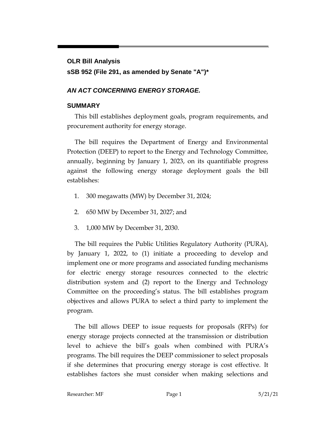# **OLR Bill Analysis sSB 952 (File 291, as amended by Senate "A")\***

## *AN ACT CONCERNING ENERGY STORAGE.*

## **SUMMARY**

This bill establishes deployment goals, program requirements, and procurement authority for energy storage.

The bill requires the Department of Energy and Environmental Protection (DEEP) to report to the Energy and Technology Committee, annually, beginning by January 1, 2023, on its quantifiable progress against the following energy storage deployment goals the bill establishes:

- 1. 300 megawatts (MW) by December 31, 2024;
- 2. 650 MW by December 31, 2027; and
- 3. 1,000 MW by December 31, 2030.

The bill requires the Public Utilities Regulatory Authority (PURA), by January 1, 2022, to (1) initiate a proceeding to develop and implement one or more programs and associated funding mechanisms for electric energy storage resources connected to the electric distribution system and (2) report to the Energy and Technology Committee on the proceeding's status. The bill establishes program objectives and allows PURA to select a third party to implement the program.

The bill allows DEEP to issue requests for proposals (RFPs) for energy storage projects connected at the transmission or distribution level to achieve the bill's goals when combined with PURA's programs. The bill requires the DEEP commissioner to select proposals if she determines that procuring energy storage is cost effective. It establishes factors she must consider when making selections and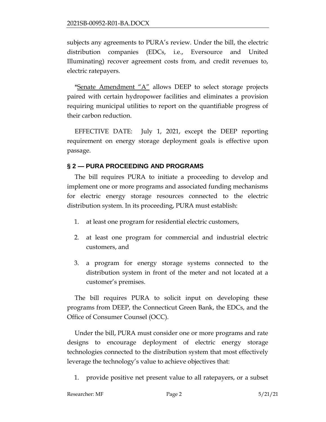subjects any agreements to PURA's review. Under the bill, the electric distribution companies (EDCs, i.e., Eversource and United Illuminating) recover agreement costs from, and credit revenues to, electric ratepayers.

\*Senate Amendment "A" allows DEEP to select storage projects paired with certain hydropower facilities and eliminates a provision requiring municipal utilities to report on the quantifiable progress of their carbon reduction.

EFFECTIVE DATE: July 1, 2021, except the DEEP reporting requirement on energy storage deployment goals is effective upon passage.

#### **§ 2 — PURA PROCEEDING AND PROGRAMS**

The bill requires PURA to initiate a proceeding to develop and implement one or more programs and associated funding mechanisms for electric energy storage resources connected to the electric distribution system. In its proceeding, PURA must establish:

- 1. at least one program for residential electric customers,
- 2. at least one program for commercial and industrial electric customers, and
- 3. a program for energy storage systems connected to the distribution system in front of the meter and not located at a customer's premises.

The bill requires PURA to solicit input on developing these programs from DEEP, the Connecticut Green Bank, the EDCs, and the Office of Consumer Counsel (OCC).

Under the bill, PURA must consider one or more programs and rate designs to encourage deployment of electric energy storage technologies connected to the distribution system that most effectively leverage the technology's value to achieve objectives that:

1. provide positive net present value to all ratepayers, or a subset

| Researcher: MF | Page 2 | 5/21/21 |
|----------------|--------|---------|
|                |        |         |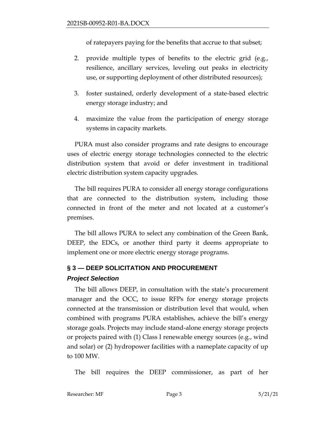of ratepayers paying for the benefits that accrue to that subset;

- 2. provide multiple types of benefits to the electric grid (e.g., resilience, ancillary services, leveling out peaks in electricity use, or supporting deployment of other distributed resources);
- 3. foster sustained, orderly development of a state-based electric energy storage industry; and
- 4. maximize the value from the participation of energy storage systems in capacity markets.

PURA must also consider programs and rate designs to encourage uses of electric energy storage technologies connected to the electric distribution system that avoid or defer investment in traditional electric distribution system capacity upgrades.

The bill requires PURA to consider all energy storage configurations that are connected to the distribution system, including those connected in front of the meter and not located at a customer's premises.

The bill allows PURA to select any combination of the Green Bank, DEEP, the EDCs, or another third party it deems appropriate to implement one or more electric energy storage programs.

# **§ 3 — DEEP SOLICITATION AND PROCUREMENT**

#### *Project Selection*

The bill allows DEEP, in consultation with the state's procurement manager and the OCC, to issue RFPs for energy storage projects connected at the transmission or distribution level that would, when combined with programs PURA establishes, achieve the bill's energy storage goals. Projects may include stand-alone energy storage projects or projects paired with (1) Class I renewable energy sources (e.g., wind and solar) or (2) hydropower facilities with a nameplate capacity of up to 100 MW.

The bill requires the DEEP commissioner, as part of her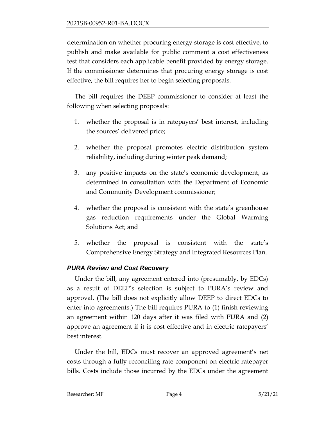determination on whether procuring energy storage is cost effective, to publish and make available for public comment a cost effectiveness test that considers each applicable benefit provided by energy storage. If the commissioner determines that procuring energy storage is cost effective, the bill requires her to begin selecting proposals.

The bill requires the DEEP commissioner to consider at least the following when selecting proposals:

- 1. whether the proposal is in ratepayers' best interest, including the sources' delivered price;
- 2. whether the proposal promotes electric distribution system reliability, including during winter peak demand;
- 3. any positive impacts on the state's economic development, as determined in consultation with the Department of Economic and Community Development commissioner;
- 4. whether the proposal is consistent with the state's greenhouse gas reduction requirements under the Global Warming Solutions Act; and
- 5. whether the proposal is consistent with the state's Comprehensive Energy Strategy and Integrated Resources Plan.

#### *PURA Review and Cost Recovery*

Under the bill, any agreement entered into (presumably, by EDCs) as a result of DEEP's selection is subject to PURA's review and approval. (The bill does not explicitly allow DEEP to direct EDCs to enter into agreements.) The bill requires PURA to (1) finish reviewing an agreement within 120 days after it was filed with PURA and (2) approve an agreement if it is cost effective and in electric ratepayers' best interest.

Under the bill, EDCs must recover an approved agreement's net costs through a fully reconciling rate component on electric ratepayer bills. Costs include those incurred by the EDCs under the agreement